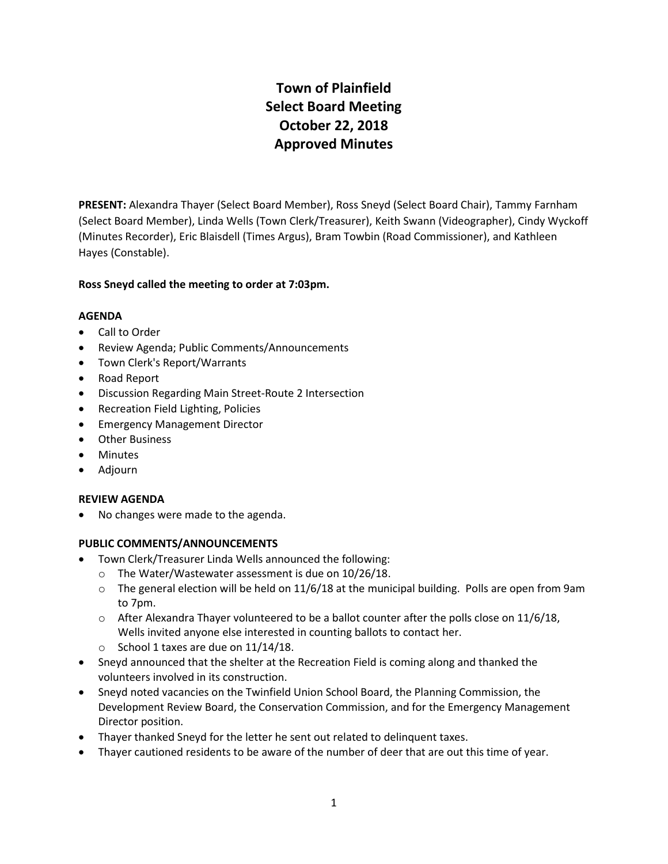# **Town of Plainfield Select Board Meeting October 22, 2018 Approved Minutes**

**PRESENT:** Alexandra Thayer (Select Board Member), Ross Sneyd (Select Board Chair), Tammy Farnham (Select Board Member), Linda Wells (Town Clerk/Treasurer), Keith Swann (Videographer), Cindy Wyckoff (Minutes Recorder), Eric Blaisdell (Times Argus), Bram Towbin (Road Commissioner), and Kathleen Hayes (Constable).

# **Ross Sneyd called the meeting to order at 7:03pm.**

## **AGENDA**

- Call to Order
- Review Agenda; Public Comments/Announcements
- Town Clerk's Report/Warrants
- Road Report
- Discussion Regarding Main Street-Route 2 Intersection
- Recreation Field Lighting, Policies
- **•** Emergency Management Director
- Other Business
- Minutes
- Adjourn

## **REVIEW AGENDA**

No changes were made to the agenda.

## **PUBLIC COMMENTS/ANNOUNCEMENTS**

- Town Clerk/Treasurer Linda Wells announced the following:
	- o The Water/Wastewater assessment is due on 10/26/18.
	- $\circ$  The general election will be held on 11/6/18 at the municipal building. Polls are open from 9am to 7pm.
	- $\circ$  After Alexandra Thayer volunteered to be a ballot counter after the polls close on 11/6/18, Wells invited anyone else interested in counting ballots to contact her.
	- $\circ$  School 1 taxes are due on 11/14/18.
- Sneyd announced that the shelter at the Recreation Field is coming along and thanked the volunteers involved in its construction.
- Sneyd noted vacancies on the Twinfield Union School Board, the Planning Commission, the Development Review Board, the Conservation Commission, and for the Emergency Management Director position.
- Thayer thanked Sneyd for the letter he sent out related to delinquent taxes.
- Thayer cautioned residents to be aware of the number of deer that are out this time of year.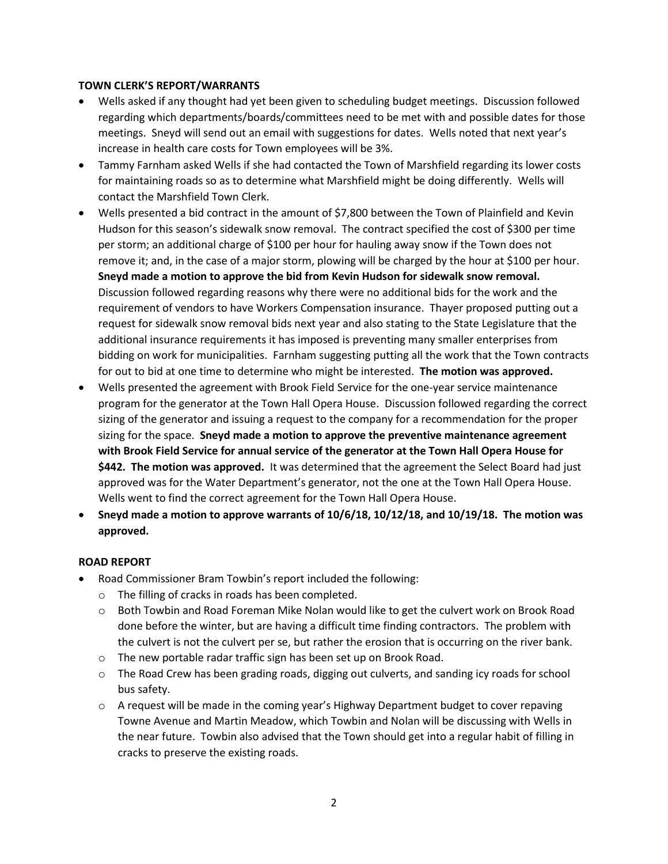## **TOWN CLERK'S REPORT/WARRANTS**

- Wells asked if any thought had yet been given to scheduling budget meetings. Discussion followed regarding which departments/boards/committees need to be met with and possible dates for those meetings. Sneyd will send out an email with suggestions for dates. Wells noted that next year's increase in health care costs for Town employees will be 3%.
- Tammy Farnham asked Wells if she had contacted the Town of Marshfield regarding its lower costs for maintaining roads so as to determine what Marshfield might be doing differently. Wells will contact the Marshfield Town Clerk.
- Wells presented a bid contract in the amount of \$7,800 between the Town of Plainfield and Kevin Hudson for this season's sidewalk snow removal. The contract specified the cost of \$300 per time per storm; an additional charge of \$100 per hour for hauling away snow if the Town does not remove it; and, in the case of a major storm, plowing will be charged by the hour at \$100 per hour. **Sneyd made a motion to approve the bid from Kevin Hudson for sidewalk snow removal.** Discussion followed regarding reasons why there were no additional bids for the work and the requirement of vendors to have Workers Compensation insurance. Thayer proposed putting out a request for sidewalk snow removal bids next year and also stating to the State Legislature that the additional insurance requirements it has imposed is preventing many smaller enterprises from bidding on work for municipalities. Farnham suggesting putting all the work that the Town contracts for out to bid at one time to determine who might be interested. **The motion was approved.**
- Wells presented the agreement with Brook Field Service for the one-year service maintenance program for the generator at the Town Hall Opera House. Discussion followed regarding the correct sizing of the generator and issuing a request to the company for a recommendation for the proper sizing for the space. **Sneyd made a motion to approve the preventive maintenance agreement with Brook Field Service for annual service of the generator at the Town Hall Opera House for \$442. The motion was approved.** It was determined that the agreement the Select Board had just approved was for the Water Department's generator, not the one at the Town Hall Opera House. Wells went to find the correct agreement for the Town Hall Opera House.
- **Sneyd made a motion to approve warrants of 10/6/18, 10/12/18, and 10/19/18. The motion was approved.**

## **ROAD REPORT**

- Road Commissioner Bram Towbin's report included the following:
	- o The filling of cracks in roads has been completed.
	- o Both Towbin and Road Foreman Mike Nolan would like to get the culvert work on Brook Road done before the winter, but are having a difficult time finding contractors. The problem with the culvert is not the culvert per se, but rather the erosion that is occurring on the river bank.
	- o The new portable radar traffic sign has been set up on Brook Road.
	- $\circ$  The Road Crew has been grading roads, digging out culverts, and sanding icy roads for school bus safety.
	- o A request will be made in the coming year's Highway Department budget to cover repaving Towne Avenue and Martin Meadow, which Towbin and Nolan will be discussing with Wells in the near future. Towbin also advised that the Town should get into a regular habit of filling in cracks to preserve the existing roads.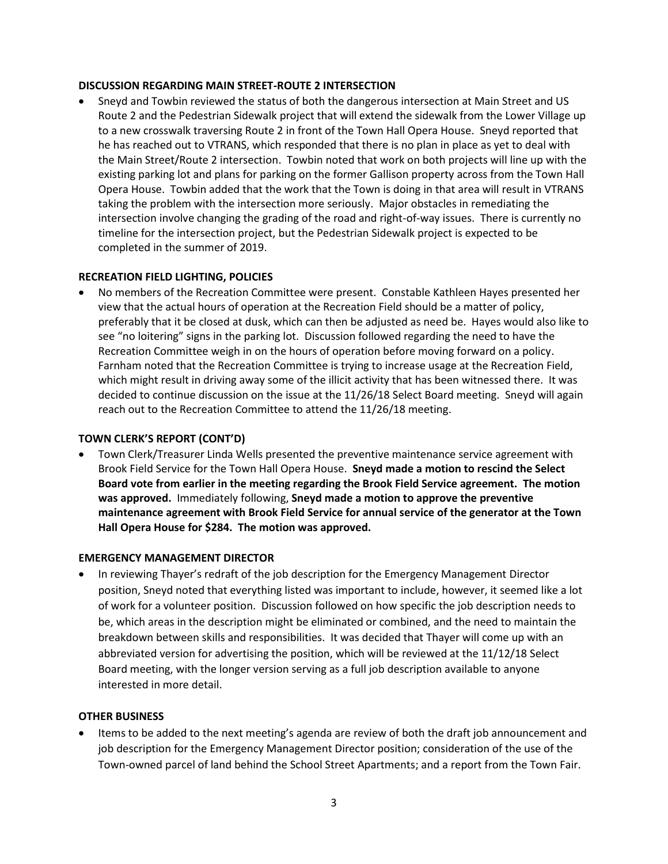#### **DISCUSSION REGARDING MAIN STREET-ROUTE 2 INTERSECTION**

 Sneyd and Towbin reviewed the status of both the dangerous intersection at Main Street and US Route 2 and the Pedestrian Sidewalk project that will extend the sidewalk from the Lower Village up to a new crosswalk traversing Route 2 in front of the Town Hall Opera House. Sneyd reported that he has reached out to VTRANS, which responded that there is no plan in place as yet to deal with the Main Street/Route 2 intersection. Towbin noted that work on both projects will line up with the existing parking lot and plans for parking on the former Gallison property across from the Town Hall Opera House. Towbin added that the work that the Town is doing in that area will result in VTRANS taking the problem with the intersection more seriously. Major obstacles in remediating the intersection involve changing the grading of the road and right-of-way issues. There is currently no timeline for the intersection project, but the Pedestrian Sidewalk project is expected to be completed in the summer of 2019.

## **RECREATION FIELD LIGHTING, POLICIES**

 No members of the Recreation Committee were present. Constable Kathleen Hayes presented her view that the actual hours of operation at the Recreation Field should be a matter of policy, preferably that it be closed at dusk, which can then be adjusted as need be. Hayes would also like to see "no loitering" signs in the parking lot. Discussion followed regarding the need to have the Recreation Committee weigh in on the hours of operation before moving forward on a policy. Farnham noted that the Recreation Committee is trying to increase usage at the Recreation Field, which might result in driving away some of the illicit activity that has been witnessed there. It was decided to continue discussion on the issue at the 11/26/18 Select Board meeting. Sneyd will again reach out to the Recreation Committee to attend the 11/26/18 meeting.

## **TOWN CLERK'S REPORT (CONT'D)**

 Town Clerk/Treasurer Linda Wells presented the preventive maintenance service agreement with Brook Field Service for the Town Hall Opera House. **Sneyd made a motion to rescind the Select Board vote from earlier in the meeting regarding the Brook Field Service agreement. The motion was approved.** Immediately following, **Sneyd made a motion to approve the preventive maintenance agreement with Brook Field Service for annual service of the generator at the Town Hall Opera House for \$284. The motion was approved.** 

## **EMERGENCY MANAGEMENT DIRECTOR**

 In reviewing Thayer's redraft of the job description for the Emergency Management Director position, Sneyd noted that everything listed was important to include, however, it seemed like a lot of work for a volunteer position. Discussion followed on how specific the job description needs to be, which areas in the description might be eliminated or combined, and the need to maintain the breakdown between skills and responsibilities. It was decided that Thayer will come up with an abbreviated version for advertising the position, which will be reviewed at the 11/12/18 Select Board meeting, with the longer version serving as a full job description available to anyone interested in more detail.

## **OTHER BUSINESS**

 Items to be added to the next meeting's agenda are review of both the draft job announcement and job description for the Emergency Management Director position; consideration of the use of the Town-owned parcel of land behind the School Street Apartments; and a report from the Town Fair.